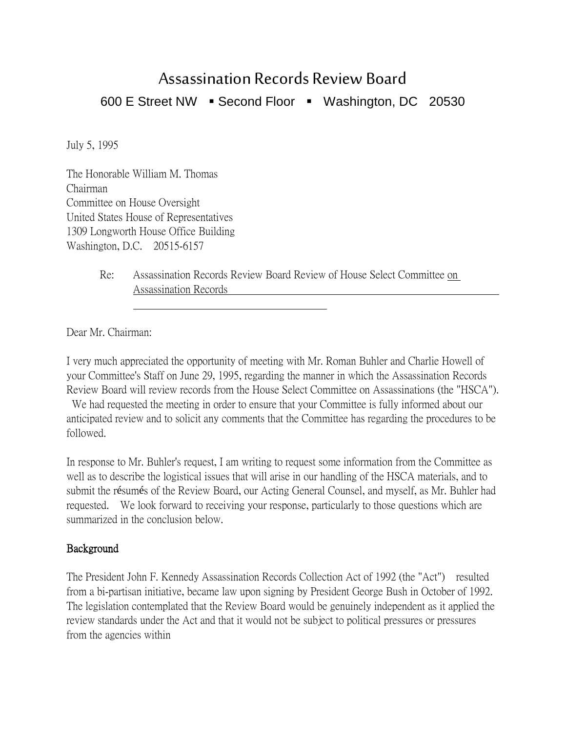# Assassination Records Review Board 600 E Street NW · Second Floor · Washington, DC 20530

July 5, 1995

The Honorable William M. Thomas Chairman Committee on House Oversight United States House of Representatives 1309 Longworth House Office Building Washington, D.C. 20515-6157

> Re: Assassination Records Review Board Review of House Select Committee on Assassination Records

Dear Mr. Chairman:

I very much appreciated the opportunity of meeting with Mr. Roman Buhler and Charlie Howell of your Committee's Staff on June 29, 1995, regarding the manner in which the Assassination Records Review Board will review records from the House Select Committee on Assassinations (the "HSCA").

We had requested the meeting in order to ensure that your Committee is fully informed about our anticipated review and to solicit any comments that the Committee has regarding the procedures to be followed.

In response to Mr. Buhler's request, I am writing to request some information from the Committee as well as to describe the logistical issues that will arise in our handling of the HSCA materials, and to submit the résumés of the Review Board, our Acting General Counsel, and myself, as Mr. Buhler had requested. We look forward to receiving your response, particularly to those questions which are summarized in the conclusion below.

#### Background

The President John F. Kennedy Assassination Records Collection Act of 1992 (the "Act") resulted from a bi-partisan initiative, became law upon signing by President George Bush in October of 1992. The legislation contemplated that the Review Board would be genuinely independent as it applied the review standards under the Act and that it would not be subject to political pressures or pressures from the agencies within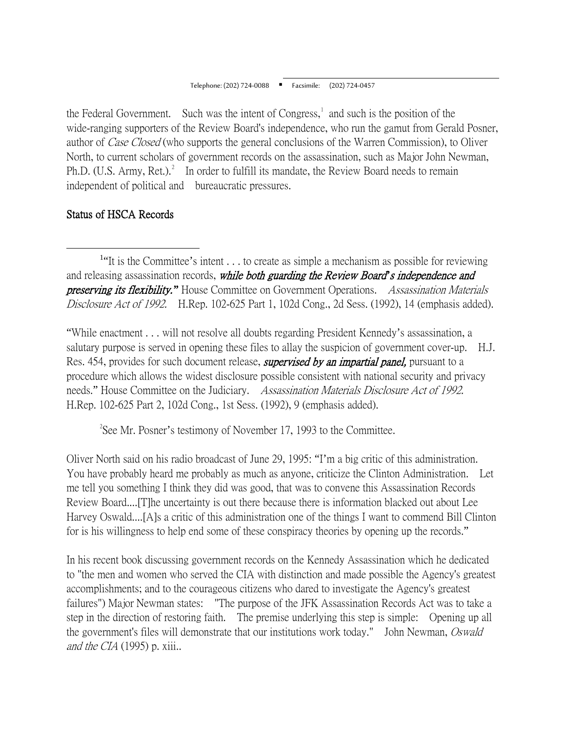the Federal Government. Such was the intent of Congress, $\frac{1}{1}$  $\frac{1}{1}$  $\frac{1}{1}$  and such is the position of the wide-ranging supporters of the Review Board's independence, who run the gamut from Gerald Posner, author of Case Closed (who supports the general conclusions of the Warren Commission), to Oliver North, to current scholars of government records on the assassination, such as Major John Newman, Ph.D. (U.S. Army, Ret.).<sup>[2](#page-1-1)</sup> In order to fulfill its mandate, the Review Board needs to remain independent of political and bureaucratic pressures.

## Status of HSCA Records

"While enactment . . . will not resolve all doubts regarding President Kennedy's assassination, a salutary purpose is served in opening these files to allay the suspicion of government cover-up. H.J. Res. 454, provides for such document release, *supervised by an impartial panel*, pursuant to a procedure which allows the widest disclosure possible consistent with national security and privacy needs." House Committee on the Judiciary. Assassination Materials Disclosure Act of 1992. H.Rep. 102-625 Part 2, 102d Cong., 1st Sess. (1992), 9 (emphasis added).

 $2^2$ See Mr. Posner's testimony of November 17, 1993 to the Committee.

<span id="page-1-1"></span>Oliver North said on his radio broadcast of June 29, 1995: "I'm a big critic of this administration. You have probably heard me probably as much as anyone, criticize the Clinton Administration. Let me tell you something I think they did was good, that was to convene this Assassination Records Review Board....[T]he uncertainty is out there because there is information blacked out about Lee Harvey Oswald....[A]s a critic of this administration one of the things I want to commend Bill Clinton for is his willingness to help end some of these conspiracy theories by opening up the records."

In his recent book discussing government records on the Kennedy Assassination which he dedicated to "the men and women who served the CIA with distinction and made possible the Agency's greatest accomplishments; and to the courageous citizens who dared to investigate the Agency's greatest failures") Major Newman states: "The purpose of the JFK Assassination Records Act was to take a step in the direction of restoring faith. The premise underlying this step is simple: Opening up all the government's files will demonstrate that our institutions work today." John Newman, *Oswald* and the CIA  $(1995)$  p. xiii..

<span id="page-1-0"></span><sup>1&</sup>lt;sup>1</sup> <sup>1</sup>"It is the Committee's intent . . . to create as simple a mechanism as possible for reviewing and releasing assassination records, while both guarding the Review Board*'*s independence and preserving its flexibility.*"* House Committee on Government Operations. Assassination Materials Disclosure Act of 1992. H.Rep. 102-625 Part 1, 102d Cong., 2d Sess. (1992), 14 (emphasis added).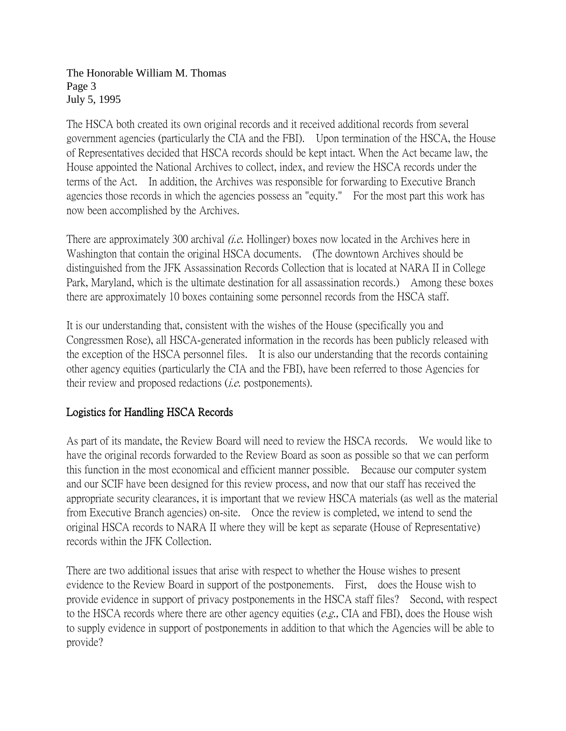The Honorable William M. Thomas Page 3 July 5, 1995

The HSCA both created its own original records and it received additional records from several government agencies (particularly the CIA and the FBI). Upon termination of the HSCA, the House of Representatives decided that HSCA records should be kept intact. When the Act became law, the House appointed the National Archives to collect, index, and review the HSCA records under the terms of the Act. In addition, the Archives was responsible for forwarding to Executive Branch agencies those records in which the agencies possess an "equity." For the most part this work has now been accomplished by the Archives.

There are approximately 300 archival *(i.e.* Hollinger) boxes now located in the Archives here in Washington that contain the original HSCA documents. (The downtown Archives should be distinguished from the JFK Assassination Records Collection that is located at NARA II in College Park, Maryland, which is the ultimate destination for all assassination records.) Among these boxes there are approximately 10 boxes containing some personnel records from the HSCA staff.

It is our understanding that, consistent with the wishes of the House (specifically you and Congressmen Rose), all HSCA-generated information in the records has been publicly released with the exception of the HSCA personnel files. It is also our understanding that the records containing other agency equities (particularly the CIA and the FBI), have been referred to those Agencies for their review and proposed redactions *(i.e.* postponements).

## Logistics for Handling HSCA Records

As part of its mandate, the Review Board will need to review the HSCA records. We would like to have the original records forwarded to the Review Board as soon as possible so that we can perform this function in the most economical and efficient manner possible. Because our computer system and our SCIF have been designed for this review process, and now that our staff has received the appropriate security clearances, it is important that we review HSCA materials (as well as the material from Executive Branch agencies) on-site. Once the review is completed, we intend to send the original HSCA records to NARA II where they will be kept as separate (House of Representative) records within the JFK Collection.

There are two additional issues that arise with respect to whether the House wishes to present evidence to the Review Board in support of the postponements. First, does the House wish to provide evidence in support of privacy postponements in the HSCA staff files? Second, with respect to the HSCA records where there are other agency equities ( $e.g.,$  CIA and FBI), does the House wish to supply evidence in support of postponements in addition to that which the Agencies will be able to provide?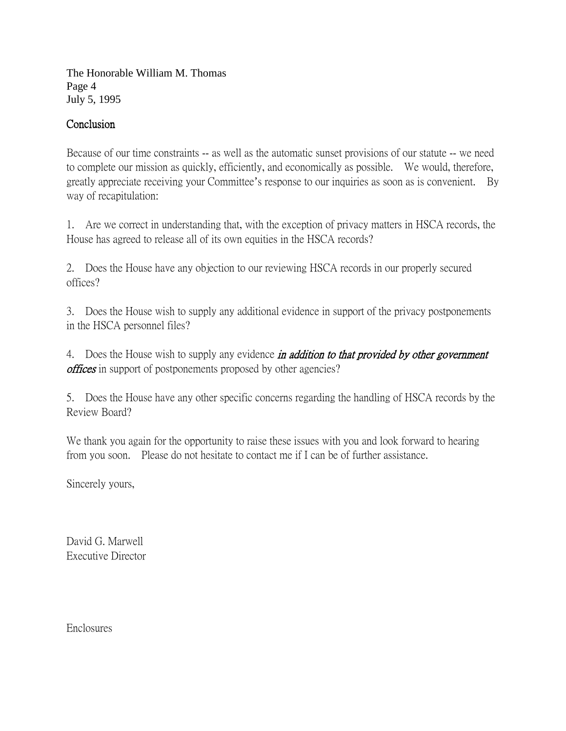The Honorable William M. Thomas Page 4 July 5, 1995

## Conclusion

Because of our time constraints -- as well as the automatic sunset provisions of our statute -- we need to complete our mission as quickly, efficiently, and economically as possible. We would, therefore, greatly appreciate receiving your Committee's response to our inquiries as soon as is convenient. By way of recapitulation:

1. Are we correct in understanding that, with the exception of privacy matters in HSCA records, the House has agreed to release all of its own equities in the HSCA records?

2. Does the House have any objection to our reviewing HSCA records in our properly secured offices?

3. Does the House wish to supply any additional evidence in support of the privacy postponements in the HSCA personnel files?

4. Does the House wish to supply any evidence *in addition to that provided by other government offices* in support of postponements proposed by other agencies?

5. Does the House have any other specific concerns regarding the handling of HSCA records by the Review Board?

We thank you again for the opportunity to raise these issues with you and look forward to hearing from you soon. Please do not hesitate to contact me if I can be of further assistance.

Sincerely yours,

David G. Marwell Executive Director

Enclosures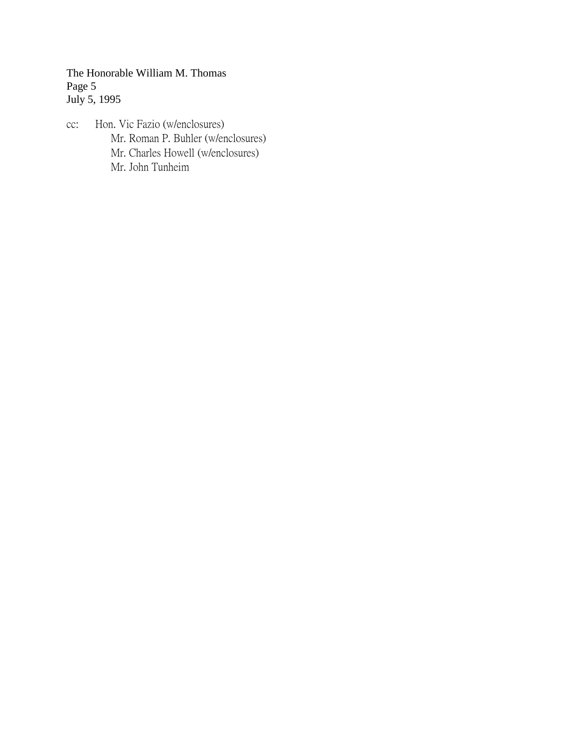The Honorable William M. Thomas Page 5 July 5, 1995

cc: Hon. Vic Fazio (w/enclosures) Mr. Roman P. Buhler (w/enclosures) Mr. Charles Howell (w/enclosures) Mr. John Tunheim